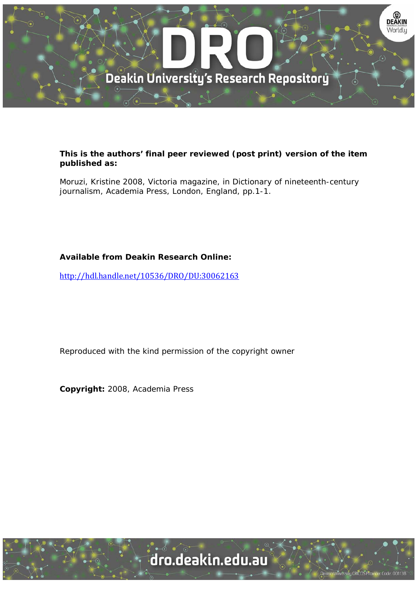

## **This is the authors' final peer reviewed (post print) version of the item published as:**

Moruzi, Kristine 2008, Victoria magazine, in Dictionary of nineteenth-century journalism, Academia Press, London, England, pp.1-1.

## **Available from Deakin Research Online:**

http://hdl.handle.net/10536/DRO/DU:30062163

Reproduced with the kind permission of the copyright owner

**Copyright:** 2008, Academia Press